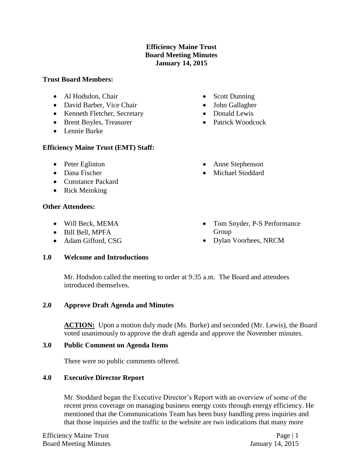### **Efficiency Maine Trust Board Meeting Minutes January 14, 2015**

### **Trust Board Members:**

- Al Hodsdon, Chair
- David Barber, Vice Chair
- Kenneth Fletcher, Secretary
- Brent Boyles, Treasurer
- Lennie Burke

# **Efficiency Maine Trust (EMT) Staff:**

- Peter Eglinton
- Dana Fischer
- Constance Packard
- Rick Meinking

# **Other Attendees:**

- Will Beck, MEMA
- Bill Bell, MPFA
- Adam Gifford, CSG

# **1.0 Welcome and Introductions**

- Scott Dunning
- John Gallagher
- Donald Lewis
- Patrick Woodcock
- Anne Stephenson
- Michael Stoddard
- Tom Snyder, P-S Performance Group
- Dylan Voorhees, NRCM

Mr. Hodsdon called the meeting to order at 9:35 a.m. The Board and attendees introduced themselves.

### **2.0 Approve Draft Agenda and Minutes**

**ACTION:** Upon a motion duly made (Ms. Burke) and seconded (Mr. Lewis), the Board voted unanimously to approve the draft agenda and approve the November minutes.

### **3.0 Public Comment on Agenda Items**

There were no public comments offered.

# **4.0 Executive Director Report**

Mr. Stoddard began the Executive Director's Report with an overview of some of the recent press coverage on managing business energy costs through energy efficiency. He mentioned that the Communications Team has been busy handling press inquiries and that those inquiries and the traffic to the website are two indications that many more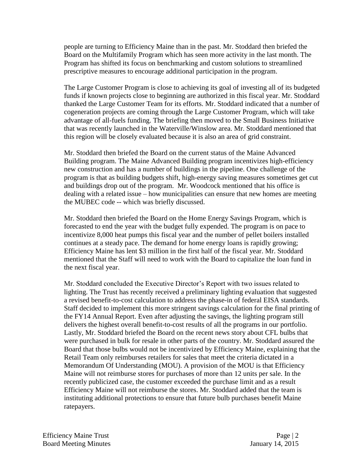people are turning to Efficiency Maine than in the past. Mr. Stoddard then briefed the Board on the Multifamily Program which has seen more activity in the last month. The Program has shifted its focus on benchmarking and custom solutions to streamlined prescriptive measures to encourage additional participation in the program.

The Large Customer Program is close to achieving its goal of investing all of its budgeted funds if known projects close to beginning are authorized in this fiscal year. Mr. Stoddard thanked the Large Customer Team for its efforts. Mr. Stoddard indicated that a number of cogeneration projects are coming through the Large Customer Program, which will take advantage of all-fuels funding. The briefing then moved to the Small Business Initiative that was recently launched in the Waterville/Winslow area. Mr. Stoddard mentioned that this region will be closely evaluated because it is also an area of grid constraint.

Mr. Stoddard then briefed the Board on the current status of the Maine Advanced Building program. The Maine Advanced Building program incentivizes high-efficiency new construction and has a number of buildings in the pipeline. One challenge of the program is that as building budgets shift, high-energy saving measures sometimes get cut and buildings drop out of the program. Mr. Woodcock mentioned that his office is dealing with a related issue – how municipalities can ensure that new homes are meeting the MUBEC code -- which was briefly discussed.

Mr. Stoddard then briefed the Board on the Home Energy Savings Program, which is forecasted to end the year with the budget fully expended. The program is on pace to incentivize 8,000 heat pumps this fiscal year and the number of pellet boilers installed continues at a steady pace. The demand for home energy loans is rapidly growing; Efficiency Maine has lent \$3 million in the first half of the fiscal year. Mr. Stoddard mentioned that the Staff will need to work with the Board to capitalize the loan fund in the next fiscal year.

Mr. Stoddard concluded the Executive Director's Report with two issues related to lighting. The Trust has recently received a preliminary lighting evaluation that suggested a revised benefit-to-cost calculation to address the phase-in of federal EISA standards. Staff decided to implement this more stringent savings calculation for the final printing of the FY14 Annual Report. Even after adjusting the savings, the lighting program still delivers the highest overall benefit-to-cost results of all the programs in our portfolio. Lastly, Mr. Stoddard briefed the Board on the recent news story about CFL bulbs that were purchased in bulk for resale in other parts of the country. Mr. Stoddard assured the Board that those bulbs would not be incentivized by Efficiency Maine, explaining that the Retail Team only reimburses retailers for sales that meet the criteria dictated in a Memorandum Of Understanding (MOU). A provision of the MOU is that Efficiency Maine will not reimburse stores for purchases of more than 12 units per sale. In the recently publicized case, the customer exceeded the purchase limit and as a result Efficiency Maine will not reimburse the stores. Mr. Stoddard added that the team is instituting additional protections to ensure that future bulb purchases benefit Maine ratepayers.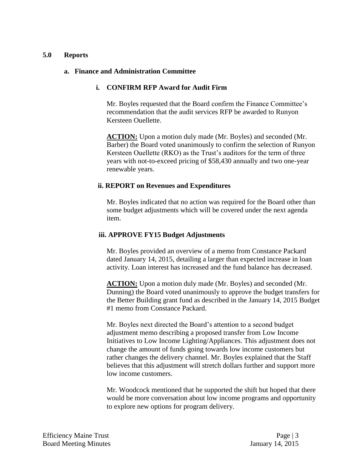#### **5.0 Reports**

#### **a. Finance and Administration Committee**

#### **i. CONFIRM RFP Award for Audit Firm**

Mr. Boyles requested that the Board confirm the Finance Committee's recommendation that the audit services RFP be awarded to Runyon Kersteen Ouellette.

**ACTION:** Upon a motion duly made (Mr. Boyles) and seconded (Mr. Barber) the Board voted unanimously to confirm the selection of Runyon Kersteen Ouellette (RKO) as the Trust's auditors for the term of three years with not-to-exceed pricing of \$58,430 annually and two one-year renewable years.

#### **ii. REPORT on Revenues and Expenditures**

Mr. Boyles indicated that no action was required for the Board other than some budget adjustments which will be covered under the next agenda item.

#### **iii. APPROVE FY15 Budget Adjustments**

Mr. Boyles provided an overview of a memo from Constance Packard dated January 14, 2015, detailing a larger than expected increase in loan activity. Loan interest has increased and the fund balance has decreased.

ACTION: Upon a motion duly made (Mr. Boyles) and seconded (Mr. Dunning) the Board voted unanimously to approve the budget transfers for the Better Building grant fund as described in the January 14, 2015 Budget #1 memo from Constance Packard.

Mr. Boyles next directed the Board's attention to a second budget adjustment memo describing a proposed transfer from Low Income Initiatives to Low Income Lighting/Appliances. This adjustment does not change the amount of funds going towards low income customers but rather changes the delivery channel. Mr. Boyles explained that the Staff believes that this adjustment will stretch dollars further and support more low income customers.

Mr. Woodcock mentioned that he supported the shift but hoped that there would be more conversation about low income programs and opportunity to explore new options for program delivery.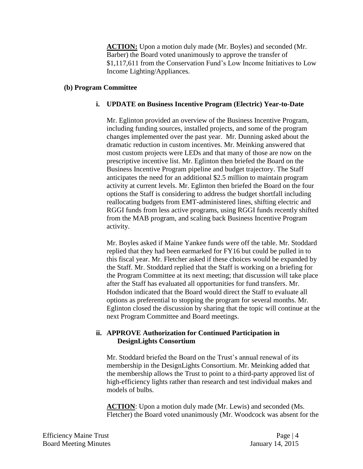**ACTION:** Upon a motion duly made (Mr. Boyles) and seconded (Mr. Barber) the Board voted unanimously to approve the transfer of \$1,117,611 from the Conservation Fund's Low Income Initiatives to Low Income Lighting/Appliances.

### **(b) Program Committee**

# **i. UPDATE on Business Incentive Program (Electric) Year-to-Date**

Mr. Eglinton provided an overview of the Business Incentive Program, including funding sources, installed projects, and some of the program changes implemented over the past year. Mr. Dunning asked about the dramatic reduction in custom incentives. Mr. Meinking answered that most custom projects were LEDs and that many of those are now on the prescriptive incentive list. Mr. Eglinton then briefed the Board on the Business Incentive Program pipeline and budget trajectory. The Staff anticipates the need for an additional \$2.5 million to maintain program activity at current levels. Mr. Eglinton then briefed the Board on the four options the Staff is considering to address the budget shortfall including reallocating budgets from EMT-administered lines, shifting electric and RGGI funds from less active programs, using RGGI funds recently shifted from the MAB program, and scaling back Business Incentive Program activity.

Mr. Boyles asked if Maine Yankee funds were off the table. Mr. Stoddard replied that they had been earmarked for FY16 but could be pulled in to this fiscal year. Mr. Fletcher asked if these choices would be expanded by the Staff. Mr. Stoddard replied that the Staff is working on a briefing for the Program Committee at its next meeting; that discussion will take place after the Staff has evaluated all opportunities for fund transfers. Mr. Hodsdon indicated that the Board would direct the Staff to evaluate all options as preferential to stopping the program for several months. Mr. Eglinton closed the discussion by sharing that the topic will continue at the next Program Committee and Board meetings.

# **ii. APPROVE Authorization for Continued Participation in DesignLights Consortium**

Mr. Stoddard briefed the Board on the Trust's annual renewal of its membership in the DesignLights Consortium. Mr. Meinking added that the membership allows the Trust to point to a third-party approved list of high-efficiency lights rather than research and test individual makes and models of bulbs.

**ACTION**: Upon a motion duly made (Mr. Lewis) and seconded (Ms. Fletcher) the Board voted unanimously (Mr. Woodcock was absent for the